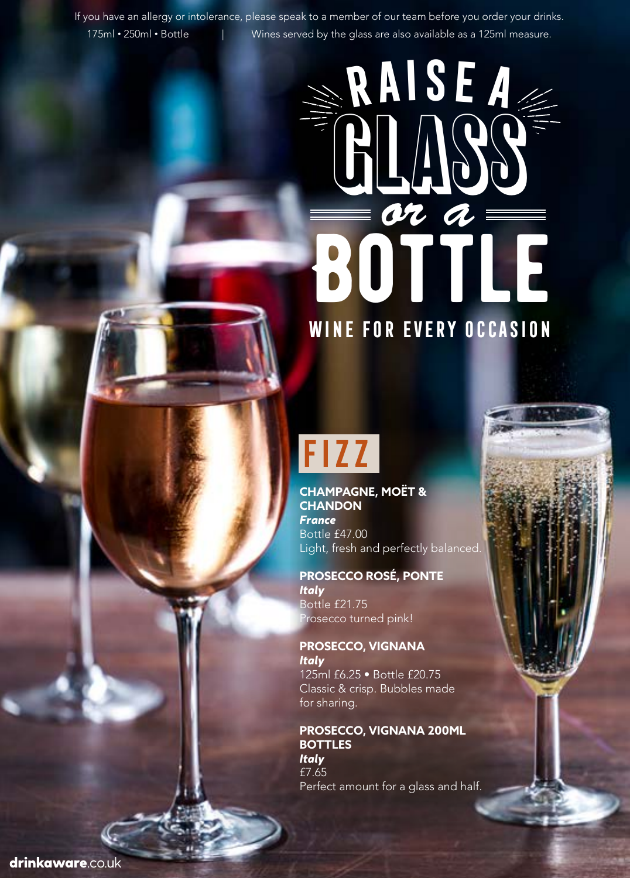If you have an allergy or intolerance, please speak to a member of our team before you order your drinks. 175ml • 250ml • Bottle | Wines served by the glass are also available as a 125ml measure.

# **BOTTLE Raisea** GLASS *or a* **Wine for every occasion**

## **Fizz**

**CHAMPAGNE, MOËT & CHANDON**  *France* Bottle £47.00 Light, fresh and perfectly balanced.

**PROSECCO ROSÉ, PONTE** *Italy* Bottle £21.75 Prosecco turned pink!

**PROSECCO, VIGNANA** *Italy*  125ml £6.25 • Bottle £20.75 Classic & crisp. Bubbles made for sharing.

**PROSECCO, VIGNANA 200ML BOTTLES** *Italy*  £7.65 Perfect amount for a glass and half.